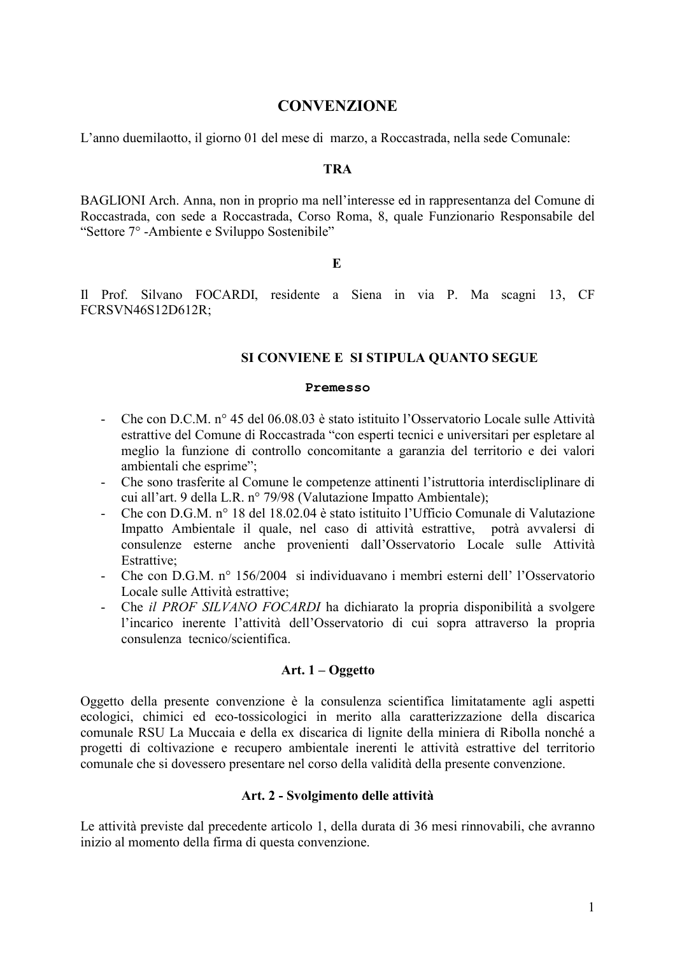# **CONVENZIONE**

L'anno due milaotto, il giorno 01 del mese di marzo, a Roccastrada, nella sede Comunale:

#### **TRA**

BAGLIONI Arch. Anna, non in proprio ma nell'interesse ed in rappresentanza del Comune di Roccastrada, con sede a Roccastrada, Corso Roma, 8, quale Funzionario Responsabile del "Settore 7° -Ambiente e Sviluppo Sostenibile"

#### E

Il Prof. Silvano FOCARDI, residente a Siena in via P. Ma scagni 13, CF FCRSVN46S12D612R;

## SI CONVIENE E SI STIPULA QUANTO SEGUE

#### Premesso

- Che con D.C.M. n° 45 del 06.08.03 è stato istituito l'Osservatorio Locale sulle Attività estrattive del Comune di Roccastrada "con esperti tecnici e universitari per espletare al meglio la funzione di controllo concomitante a garanzia del territorio e dei valori ambientali che esprime";
- $\omega_{\rm{eff}}$ Che sono trasferite al Comune le competenze attinenti l'istruttoria interdiscliplinare di cui all'art. 9 della L.R. nº 79/98 (Valutazione Impatto Ambientale);
- Che con D.G.M. n° 18 del 18.02.04 è stato istituito l'Ufficio Comunale di Valutazione Impatto Ambientale il quale, nel caso di attività estrattive, potrà avvalersi di consulenze esterne anche provenienti dall'Osservatorio Locale sulle Attività Estrattive<sup>.</sup>
- Che con D.G.M. nº 156/2004 si individuavano i membri esterni dell' l'Osservatorio Locale sulle Attività estrattive:
- Che *il PROF SILVANO FOCARDI* ha dichiarato la propria disponibilità a svolgere l'incarico inerente l'attività dell'Osservatorio di cui sopra attraverso la propria consulenza tecnico/scientifica

## Art.  $1 - Oggetto$

Oggetto della presente convenzione è la consulenza scientifica limitatamente agli aspetti ecologici, chimici ed eco-tossicologici in merito alla caratterizzazione della discarica comunale RSU La Muccaia e della ex discarica di lignite della miniera di Ribolla nonché a progetti di coltivazione e recupero ambientale inerenti le attività estrattive del territorio comunale che si dovessero presentare nel corso della validità della presente convenzione.

## Art. 2 - Svolgimento delle attività

Le attività previste dal precedente articolo 1, della durata di 36 mesi rinnovabili, che avranno inizio al momento della firma di questa convenzione.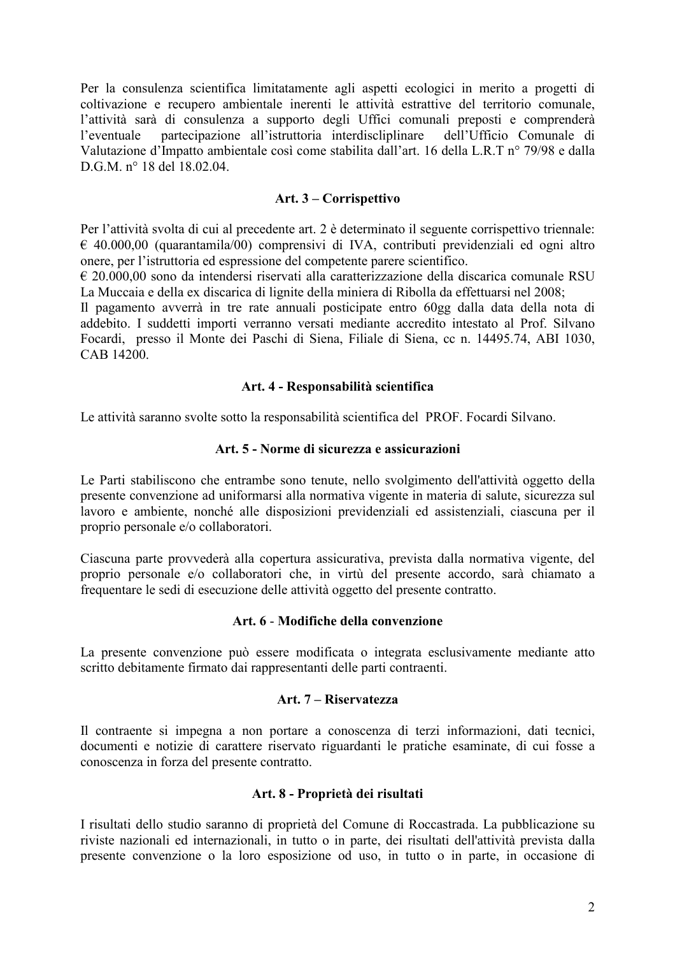Per la consulenza scientifica limitatamente agli aspetti ecologici in merito a progetti di coltivazione e recupero ambientale inerenti le attività estrattive del territorio comunale, l'attività sarà di consulenza a supporto degli Uffici comunali preposti e comprenderà partecipazione all'istruttoria interdiscliplinare dell'Ufficio Comunale di l'eventuale Valutazione d'Impatto ambientale così come stabilita dall'art. 16 della L.R.T n° 79/98 e dalla D.G.M. n° 18 del 18.02.04.

## Art. 3 – Corrispettivo

Per l'attività svolta di cui al precedente art. 2 è determinato il seguente corrispettivo triennale:  $\epsilon$  40.000,00 (quarantamila/00) comprensivi di IVA, contributi previdenziali ed ogni altro onere, per l'istruttoria ed espressione del competente parere scientifico.

 $\epsilon$  20.000,00 sono da intendersi riservati alla caratterizzazione della discarica comunale RSU La Muccaia e della ex discarica di lignite della miniera di Ribolla da effettuarsi nel 2008;

Il pagamento avverrà in tre rate annuali posticipate entro 60gg dalla data della nota di addebito. I suddetti importi verranno versati mediante accredito intestato al Prof. Silvano Focardi, presso il Monte dei Paschi di Siena, Filiale di Siena, cc n. 14495.74, ABI 1030, CAB 14200.

## Art. 4 - Responsabilità scientifica

Le attività saranno svolte sotto la responsabilità scientifica del PROF. Focardi Silvano.

## Art. 5 - Norme di sicurezza e assicurazioni

Le Parti stabiliscono che entrambe sono tenute, nello svolgimento dell'attività oggetto della presente convenzione ad uniformarsi alla normativa vigente in materia di salute, sicurezza sul lavoro e ambiente, nonché alle disposizioni previdenziali ed assistenziali, ciascuna per il proprio personale e/o collaboratori.

Ciascuna parte provvederà alla copertura assicurativa, prevista dalla normativa vigente, del proprio personale e/o collaboratori che, in virtù del presente accordo, sarà chiamato a frequentare le sedi di esecuzione delle attività oggetto del presente contratto.

## Art. 6 - Modifiche della convenzione

La presente convenzione può essere modificata o integrata esclusivamente mediante atto scritto debitamente firmato dai rappresentanti delle parti contraenti.

## Art. 7 – Riservatezza

Il contraente si impegna a non portare a conoscenza di terzi informazioni, dati tecnici, documenti e notizie di carattere riservato riguardanti le pratiche esaminate, di cui fosse a conoscenza in forza del presente contratto.

# Art. 8 - Proprietà dei risultati

I risultati dello studio saranno di proprietà del Comune di Roccastrada. La pubblicazione su riviste nazionali ed internazionali, in tutto o in parte, dei risultati dell'attività prevista dalla presente convenzione o la loro esposizione od uso, in tutto o in parte, in occasione di